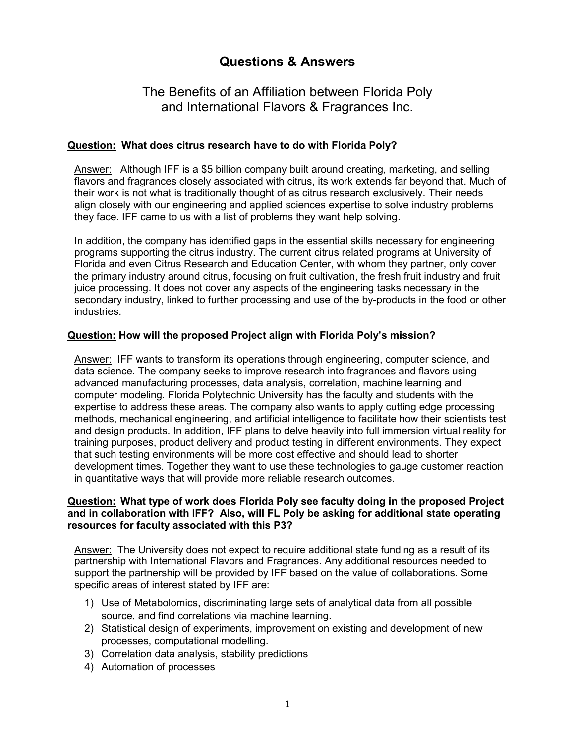# **Questions & Answers**

## The Benefits of an Affiliation between Florida Poly and International Flavors & Fragrances Inc.

### **Question: What does citrus research have to do with Florida Poly?**

Answer: Although IFF is a \$5 billion company built around creating, marketing, and selling flavors and fragrances closely associated with citrus, its work extends far beyond that. Much of their work is not what is traditionally thought of as citrus research exclusively. Their needs align closely with our engineering and applied sciences expertise to solve industry problems they face. IFF came to us with a list of problems they want help solving.

In addition, the company has identified gaps in the essential skills necessary for engineering programs supporting the citrus industry. The current citrus related programs at University of Florida and even Citrus Research and Education Center, with whom they partner, only cover the primary industry around citrus, focusing on fruit cultivation, the fresh fruit industry and fruit juice processing. It does not cover any aspects of the engineering tasks necessary in the secondary industry, linked to further processing and use of the by-products in the food or other industries.

### **Question: How will the proposed Project align with Florida Poly's mission?**

Answer: IFF wants to transform its operations through engineering, computer science, and data science. The company seeks to improve research into fragrances and flavors using advanced manufacturing processes, data analysis, correlation, machine learning and computer modeling. Florida Polytechnic University has the faculty and students with the expertise to address these areas. The company also wants to apply cutting edge processing methods, mechanical engineering, and artificial intelligence to facilitate how their scientists test and design products. In addition, IFF plans to delve heavily into full immersion virtual reality for training purposes, product delivery and product testing in different environments. They expect that such testing environments will be more cost effective and should lead to shorter development times. Together they want to use these technologies to gauge customer reaction in quantitative ways that will provide more reliable research outcomes.

#### **Question: What type of work does Florida Poly see faculty doing in the proposed Project and in collaboration with IFF? Also, will FL Poly be asking for additional state operating resources for faculty associated with this P3?**

Answer: The University does not expect to require additional state funding as a result of its partnership with International Flavors and Fragrances. Any additional resources needed to support the partnership will be provided by IFF based on the value of collaborations. Some specific areas of interest stated by IFF are:

- 1) Use of Metabolomics, discriminating large sets of analytical data from all possible source, and find correlations via machine learning.
- 2) Statistical design of experiments, improvement on existing and development of new processes, computational modelling.
- 3) Correlation data analysis, stability predictions
- 4) Automation of processes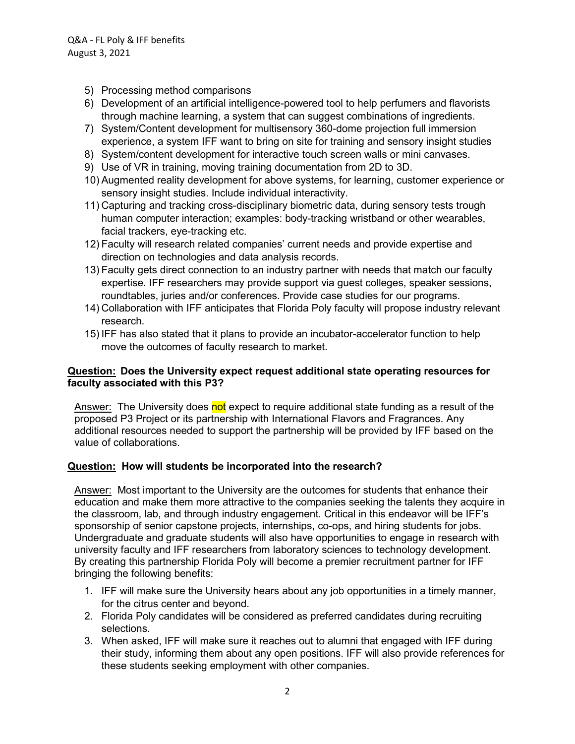- 5) Processing method comparisons
- 6) Development of an artificial intelligence-powered tool to help perfumers and flavorists through machine learning, a system that can suggest combinations of ingredients.
- 7) System/Content development for multisensory 360-dome projection full immersion experience, a system IFF want to bring on site for training and sensory insight studies
- 8) System/content development for interactive touch screen walls or mini canvases.
- 9) Use of VR in training, moving training documentation from 2D to 3D.
- 10) Augmented reality development for above systems, for learning, customer experience or sensory insight studies. Include individual interactivity.
- 11) Capturing and tracking cross-disciplinary biometric data, during sensory tests trough human computer interaction; examples: body-tracking wristband or other wearables, facial trackers, eye-tracking etc.
- 12) Faculty will research related companies' current needs and provide expertise and direction on technologies and data analysis records.
- 13) Faculty gets direct connection to an industry partner with needs that match our faculty expertise. IFF researchers may provide support via guest colleges, speaker sessions, roundtables, juries and/or conferences. Provide case studies for our programs.
- 14) Collaboration with IFF anticipates that Florida Poly faculty will propose industry relevant research.
- 15) IFF has also stated that it plans to provide an incubator-accelerator function to help move the outcomes of faculty research to market.

### **Question: Does the University expect request additional state operating resources for faculty associated with this P3?**

Answer: The University does not expect to require additional state funding as a result of the proposed P3 Project or its partnership with International Flavors and Fragrances. Any additional resources needed to support the partnership will be provided by IFF based on the value of collaborations.

### **Question: How will students be incorporated into the research?**

Answer: Most important to the University are the outcomes for students that enhance their education and make them more attractive to the companies seeking the talents they acquire in the classroom, lab, and through industry engagement. Critical in this endeavor will be IFF's sponsorship of senior capstone projects, internships, co-ops, and hiring students for jobs. Undergraduate and graduate students will also have opportunities to engage in research with university faculty and IFF researchers from laboratory sciences to technology development. By creating this partnership Florida Poly will become a premier recruitment partner for IFF bringing the following benefits:

- 1. IFF will make sure the University hears about any job opportunities in a timely manner, for the citrus center and beyond.
- 2. Florida Poly candidates will be considered as preferred candidates during recruiting selections.
- 3. When asked, IFF will make sure it reaches out to alumni that engaged with IFF during their study, informing them about any open positions. IFF will also provide references for these students seeking employment with other companies.